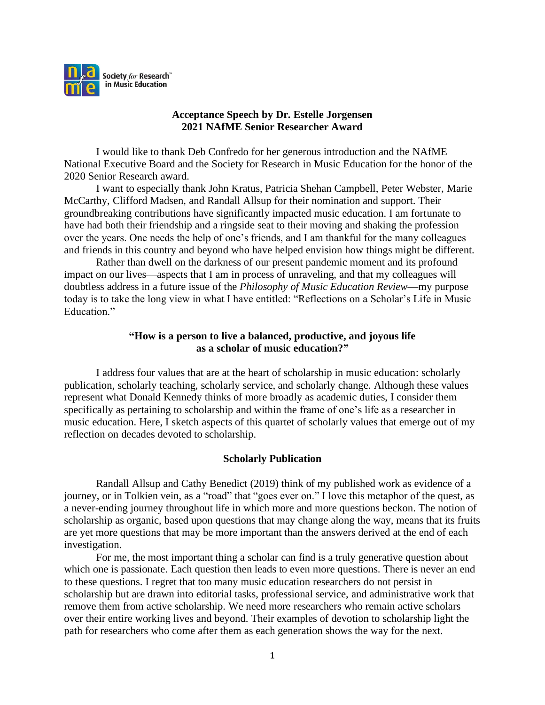

# **Acceptance Speech by Dr. Estelle Jorgensen 2021 NAfME Senior Researcher Award**

I would like to thank Deb Confredo for her generous introduction and the NAfME National Executive Board and the Society for Research in Music Education for the honor of the 2020 Senior Research award.

I want to especially thank John Kratus, Patricia Shehan Campbell, Peter Webster, Marie McCarthy, Clifford Madsen, and Randall Allsup for their nomination and support. Their groundbreaking contributions have significantly impacted music education. I am fortunate to have had both their friendship and a ringside seat to their moving and shaking the profession over the years. One needs the help of one's friends, and I am thankful for the many colleagues and friends in this country and beyond who have helped envision how things might be different.

Rather than dwell on the darkness of our present pandemic moment and its profound impact on our lives—aspects that I am in process of unraveling, and that my colleagues will doubtless address in a future issue of the *Philosophy of Music Education Review*—my purpose today is to take the long view in what I have entitled: "Reflections on a Scholar's Life in Music Education."

# **"How is a person to live a balanced, productive, and joyous life as a scholar of music education?"**

I address four values that are at the heart of scholarship in music education: scholarly publication, scholarly teaching, scholarly service, and scholarly change. Although these values represent what Donald Kennedy thinks of more broadly as academic duties, I consider them specifically as pertaining to scholarship and within the frame of one's life as a researcher in music education. Here, I sketch aspects of this quartet of scholarly values that emerge out of my reflection on decades devoted to scholarship.

# **Scholarly Publication**

Randall Allsup and Cathy Benedict (2019) think of my published work as evidence of a journey, or in Tolkien vein, as a "road" that "goes ever on." I love this metaphor of the quest, as a never-ending journey throughout life in which more and more questions beckon. The notion of scholarship as organic, based upon questions that may change along the way, means that its fruits are yet more questions that may be more important than the answers derived at the end of each investigation.

For me, the most important thing a scholar can find is a truly generative question about which one is passionate. Each question then leads to even more questions. There is never an end to these questions. I regret that too many music education researchers do not persist in scholarship but are drawn into editorial tasks, professional service, and administrative work that remove them from active scholarship. We need more researchers who remain active scholars over their entire working lives and beyond. Their examples of devotion to scholarship light the path for researchers who come after them as each generation shows the way for the next.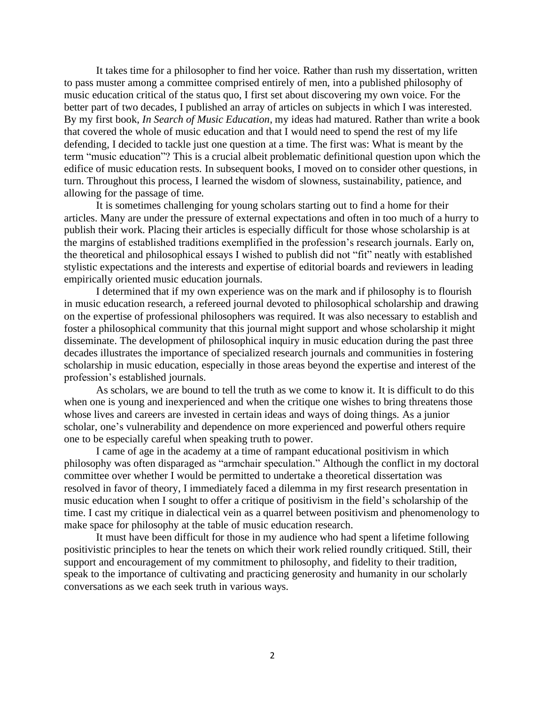It takes time for a philosopher to find her voice. Rather than rush my dissertation, written to pass muster among a committee comprised entirely of men, into a published philosophy of music education critical of the status quo, I first set about discovering my own voice. For the better part of two decades, I published an array of articles on subjects in which I was interested. By my first book, *In Search of Music Education*, my ideas had matured. Rather than write a book that covered the whole of music education and that I would need to spend the rest of my life defending, I decided to tackle just one question at a time. The first was: What is meant by the term "music education"? This is a crucial albeit problematic definitional question upon which the edifice of music education rests. In subsequent books, I moved on to consider other questions, in turn. Throughout this process, I learned the wisdom of slowness, sustainability, patience, and allowing for the passage of time.

It is sometimes challenging for young scholars starting out to find a home for their articles. Many are under the pressure of external expectations and often in too much of a hurry to publish their work. Placing their articles is especially difficult for those whose scholarship is at the margins of established traditions exemplified in the profession's research journals. Early on, the theoretical and philosophical essays I wished to publish did not "fit" neatly with established stylistic expectations and the interests and expertise of editorial boards and reviewers in leading empirically oriented music education journals.

I determined that if my own experience was on the mark and if philosophy is to flourish in music education research, a refereed journal devoted to philosophical scholarship and drawing on the expertise of professional philosophers was required. It was also necessary to establish and foster a philosophical community that this journal might support and whose scholarship it might disseminate. The development of philosophical inquiry in music education during the past three decades illustrates the importance of specialized research journals and communities in fostering scholarship in music education, especially in those areas beyond the expertise and interest of the profession's established journals.

As scholars, we are bound to tell the truth as we come to know it. It is difficult to do this when one is young and inexperienced and when the critique one wishes to bring threatens those whose lives and careers are invested in certain ideas and ways of doing things. As a junior scholar, one's vulnerability and dependence on more experienced and powerful others require one to be especially careful when speaking truth to power.

I came of age in the academy at a time of rampant educational positivism in which philosophy was often disparaged as "armchair speculation." Although the conflict in my doctoral committee over whether I would be permitted to undertake a theoretical dissertation was resolved in favor of theory, I immediately faced a dilemma in my first research presentation in music education when I sought to offer a critique of positivism in the field's scholarship of the time. I cast my critique in dialectical vein as a quarrel between positivism and phenomenology to make space for philosophy at the table of music education research.

It must have been difficult for those in my audience who had spent a lifetime following positivistic principles to hear the tenets on which their work relied roundly critiqued. Still, their support and encouragement of my commitment to philosophy, and fidelity to their tradition, speak to the importance of cultivating and practicing generosity and humanity in our scholarly conversations as we each seek truth in various ways.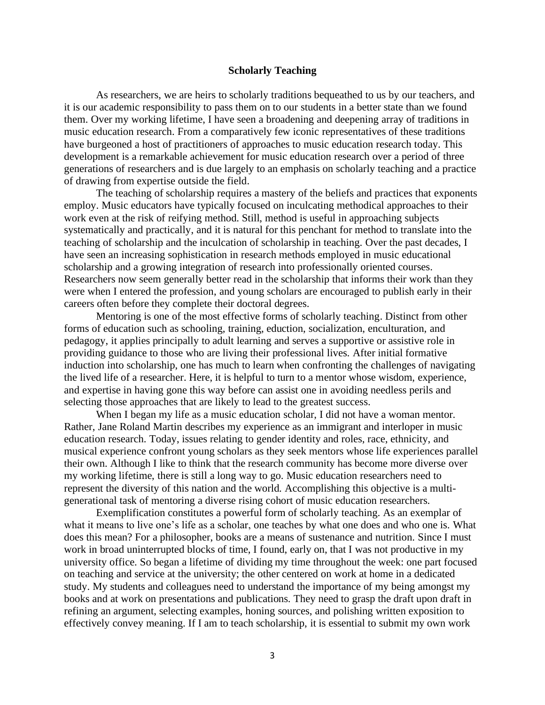#### **Scholarly Teaching**

As researchers, we are heirs to scholarly traditions bequeathed to us by our teachers, and it is our academic responsibility to pass them on to our students in a better state than we found them. Over my working lifetime, I have seen a broadening and deepening array of traditions in music education research. From a comparatively few iconic representatives of these traditions have burgeoned a host of practitioners of approaches to music education research today. This development is a remarkable achievement for music education research over a period of three generations of researchers and is due largely to an emphasis on scholarly teaching and a practice of drawing from expertise outside the field.

The teaching of scholarship requires a mastery of the beliefs and practices that exponents employ. Music educators have typically focused on inculcating methodical approaches to their work even at the risk of reifying method. Still, method is useful in approaching subjects systematically and practically, and it is natural for this penchant for method to translate into the teaching of scholarship and the inculcation of scholarship in teaching. Over the past decades, I have seen an increasing sophistication in research methods employed in music educational scholarship and a growing integration of research into professionally oriented courses. Researchers now seem generally better read in the scholarship that informs their work than they were when I entered the profession, and young scholars are encouraged to publish early in their careers often before they complete their doctoral degrees.

Mentoring is one of the most effective forms of scholarly teaching. Distinct from other forms of education such as schooling, training, eduction, socialization, enculturation, and pedagogy, it applies principally to adult learning and serves a supportive or assistive role in providing guidance to those who are living their professional lives. After initial formative induction into scholarship, one has much to learn when confronting the challenges of navigating the lived life of a researcher. Here, it is helpful to turn to a mentor whose wisdom, experience, and expertise in having gone this way before can assist one in avoiding needless perils and selecting those approaches that are likely to lead to the greatest success.

When I began my life as a music education scholar, I did not have a woman mentor. Rather, Jane Roland Martin describes my experience as an immigrant and interloper in music education research. Today, issues relating to gender identity and roles, race, ethnicity, and musical experience confront young scholars as they seek mentors whose life experiences parallel their own. Although I like to think that the research community has become more diverse over my working lifetime, there is still a long way to go. Music education researchers need to represent the diversity of this nation and the world. Accomplishing this objective is a multigenerational task of mentoring a diverse rising cohort of music education researchers.

Exemplification constitutes a powerful form of scholarly teaching. As an exemplar of what it means to live one's life as a scholar, one teaches by what one does and who one is. What does this mean? For a philosopher, books are a means of sustenance and nutrition. Since I must work in broad uninterrupted blocks of time, I found, early on, that I was not productive in my university office. So began a lifetime of dividing my time throughout the week: one part focused on teaching and service at the university; the other centered on work at home in a dedicated study. My students and colleagues need to understand the importance of my being amongst my books and at work on presentations and publications. They need to grasp the draft upon draft in refining an argument, selecting examples, honing sources, and polishing written exposition to effectively convey meaning. If I am to teach scholarship, it is essential to submit my own work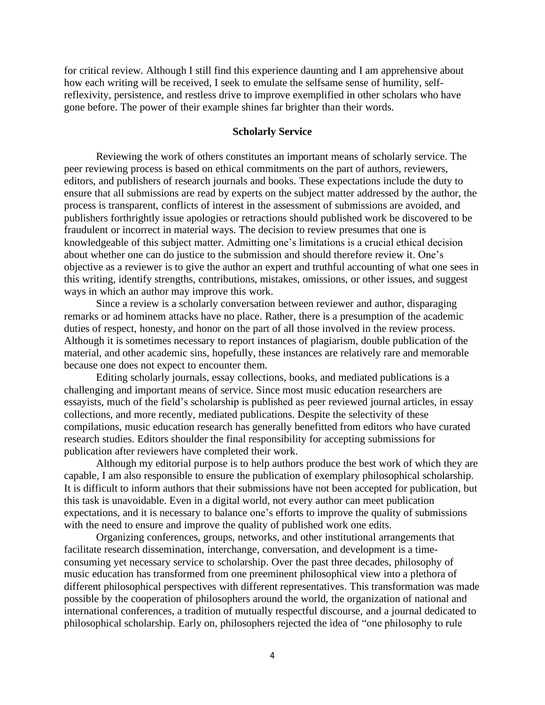for critical review. Although I still find this experience daunting and I am apprehensive about how each writing will be received, I seek to emulate the selfsame sense of humility, selfreflexivity, persistence, and restless drive to improve exemplified in other scholars who have gone before. The power of their example shines far brighter than their words.

## **Scholarly Service**

Reviewing the work of others constitutes an important means of scholarly service. The peer reviewing process is based on ethical commitments on the part of authors, reviewers, editors, and publishers of research journals and books. These expectations include the duty to ensure that all submissions are read by experts on the subject matter addressed by the author, the process is transparent, conflicts of interest in the assessment of submissions are avoided, and publishers forthrightly issue apologies or retractions should published work be discovered to be fraudulent or incorrect in material ways. The decision to review presumes that one is knowledgeable of this subject matter. Admitting one's limitations is a crucial ethical decision about whether one can do justice to the submission and should therefore review it. One's objective as a reviewer is to give the author an expert and truthful accounting of what one sees in this writing, identify strengths, contributions, mistakes, omissions, or other issues, and suggest ways in which an author may improve this work.

Since a review is a scholarly conversation between reviewer and author, disparaging remarks or ad hominem attacks have no place. Rather, there is a presumption of the academic duties of respect, honesty, and honor on the part of all those involved in the review process. Although it is sometimes necessary to report instances of plagiarism, double publication of the material, and other academic sins, hopefully, these instances are relatively rare and memorable because one does not expect to encounter them.

Editing scholarly journals, essay collections, books, and mediated publications is a challenging and important means of service. Since most music education researchers are essayists, much of the field's scholarship is published as peer reviewed journal articles, in essay collections, and more recently, mediated publications. Despite the selectivity of these compilations, music education research has generally benefitted from editors who have curated research studies. Editors shoulder the final responsibility for accepting submissions for publication after reviewers have completed their work.

Although my editorial purpose is to help authors produce the best work of which they are capable, I am also responsible to ensure the publication of exemplary philosophical scholarship. It is difficult to inform authors that their submissions have not been accepted for publication, but this task is unavoidable. Even in a digital world, not every author can meet publication expectations, and it is necessary to balance one's efforts to improve the quality of submissions with the need to ensure and improve the quality of published work one edits.

Organizing conferences, groups, networks, and other institutional arrangements that facilitate research dissemination, interchange, conversation, and development is a timeconsuming yet necessary service to scholarship. Over the past three decades, philosophy of music education has transformed from one preeminent philosophical view into a plethora of different philosophical perspectives with different representatives. This transformation was made possible by the cooperation of philosophers around the world, the organization of national and international conferences, a tradition of mutually respectful discourse, and a journal dedicated to philosophical scholarship. Early on, philosophers rejected the idea of "one philosophy to rule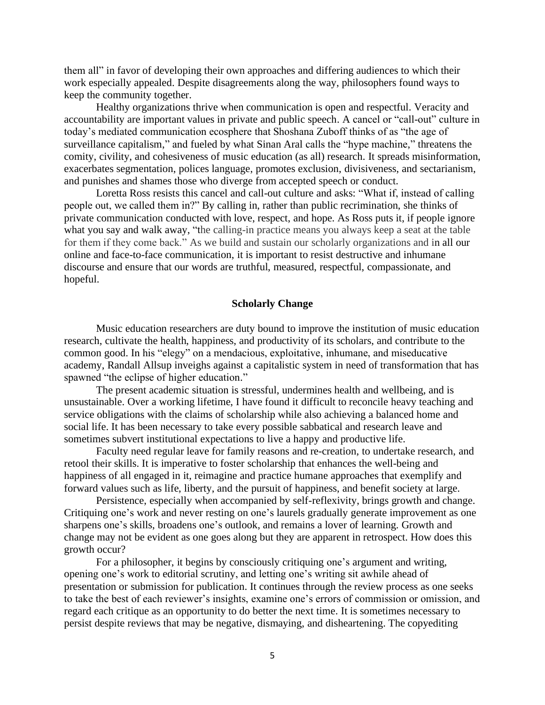them all" in favor of developing their own approaches and differing audiences to which their work especially appealed. Despite disagreements along the way, philosophers found ways to keep the community together.

Healthy organizations thrive when communication is open and respectful. Veracity and accountability are important values in private and public speech. A cancel or "call-out" culture in today's mediated communication ecosphere that Shoshana Zuboff thinks of as "the age of surveillance capitalism," and fueled by what Sinan Aral calls the "hype machine," threatens the comity, civility, and cohesiveness of music education (as all) research. It spreads misinformation, exacerbates segmentation, polices language, promotes exclusion, divisiveness, and sectarianism, and punishes and shames those who diverge from accepted speech or conduct.

Loretta Ross resists this cancel and call-out culture and asks: "What if, instead of calling people out, we called them in?" By calling in, rather than public recrimination, she thinks of private communication conducted with love, respect, and hope. As Ross puts it, if people ignore what you say and walk away, "the calling-in practice means you always keep a seat at the table for them if they come back." As we build and sustain our scholarly organizations and in all our online and face-to-face communication, it is important to resist destructive and inhumane discourse and ensure that our words are truthful, measured, respectful, compassionate, and hopeful.

## **Scholarly Change**

Music education researchers are duty bound to improve the institution of music education research, cultivate the health, happiness, and productivity of its scholars, and contribute to the common good. In his "elegy" on a mendacious, exploitative, inhumane, and miseducative academy, Randall Allsup inveighs against a capitalistic system in need of transformation that has spawned "the eclipse of higher education."

The present academic situation is stressful, undermines health and wellbeing, and is unsustainable. Over a working lifetime, I have found it difficult to reconcile heavy teaching and service obligations with the claims of scholarship while also achieving a balanced home and social life. It has been necessary to take every possible sabbatical and research leave and sometimes subvert institutional expectations to live a happy and productive life.

Faculty need regular leave for family reasons and re-creation, to undertake research, and retool their skills. It is imperative to foster scholarship that enhances the well-being and happiness of all engaged in it, reimagine and practice humane approaches that exemplify and forward values such as life, liberty, and the pursuit of happiness, and benefit society at large.

Persistence, especially when accompanied by self-reflexivity, brings growth and change. Critiquing one's work and never resting on one's laurels gradually generate improvement as one sharpens one's skills, broadens one's outlook, and remains a lover of learning. Growth and change may not be evident as one goes along but they are apparent in retrospect. How does this growth occur?

For a philosopher, it begins by consciously critiquing one's argument and writing, opening one's work to editorial scrutiny, and letting one's writing sit awhile ahead of presentation or submission for publication. It continues through the review process as one seeks to take the best of each reviewer's insights, examine one's errors of commission or omission, and regard each critique as an opportunity to do better the next time. It is sometimes necessary to persist despite reviews that may be negative, dismaying, and disheartening. The copyediting